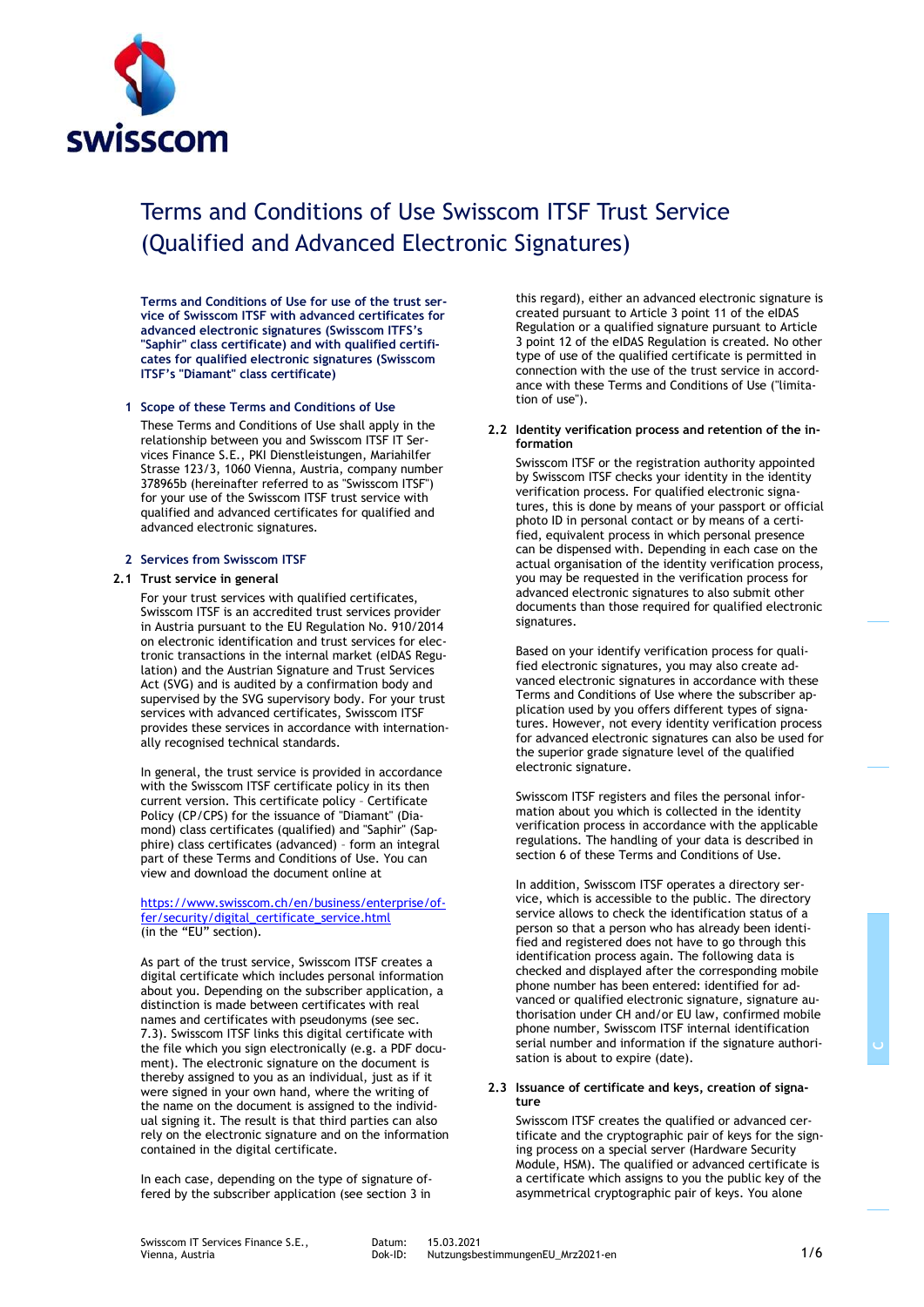

# Terms and Conditions of Use Swisscom ITSF Trust Service (Qualified and Advanced Electronic Signatures)

**Terms and Conditions of Use for use of the trust service of Swisscom ITSF with advanced certificates for advanced electronic signatures (Swisscom ITFS's "Saphir" class certificate) and with qualified certificates for qualified electronic signatures (Swisscom ITSF's "Diamant" class certificate)**

## **1 Scope of these Terms and Conditions of Use**

These Terms and Conditions of Use shall apply in the relationship between you and Swisscom ITSF IT Services Finance S.E., PKI Dienstleistungen, Mariahilfer Strasse 123/3, 1060 Vienna, Austria, company number 378965b (hereinafter referred to as "Swisscom ITSF") for your use of the Swisscom ITSF trust service with qualified and advanced certificates for qualified and advanced electronic signatures.

#### **2 Services from Swisscom ITSF**

#### **2.1 Trust service in general**

For your trust services with qualified certificates, Swisscom ITSF is an accredited trust services provider in Austria pursuant to the EU Regulation No. 910/2014 on electronic identification and trust services for electronic transactions in the internal market (eIDAS Regulation) and the Austrian Signature and Trust Services Act (SVG) and is audited by a confirmation body and supervised by the SVG supervisory body. For your trust services with advanced certificates, Swisscom ITSF provides these services in accordance with internationally recognised technical standards.

In general, the trust service is provided in accordance with the Swisscom ITSF certificate policy in its then current version. This certificate policy – Certificate Policy (CP/CPS) for the issuance of "Diamant" (Diamond) class certificates (qualified) and "Saphir" (Sapphire) class certificates (advanced) – form an integral part of these Terms and Conditions of Use. You can view and download the document online at

[https://www.swisscom.ch/en/business/enterprise/of](https://www.swisscom.ch/en/business/enterprise/offer/security/digital_certificate_service.html)[fer/security/digital\\_certificate\\_service.html](https://www.swisscom.ch/en/business/enterprise/offer/security/digital_certificate_service.html) (in the "EU" section).

As part of the trust service, Swisscom ITSF creates a digital certificate which includes personal information about you. Depending on the subscriber application, a distinction is made between certificates with real names and certificates with pseudonyms (see sec. 7.3). Swisscom ITSF links this digital certificate with the file which you sign electronically (e.g. a PDF document). The electronic signature on the document is thereby assigned to you as an individual, just as if it were signed in your own hand, where the writing of the name on the document is assigned to the individual signing it. The result is that third parties can also rely on the electronic signature and on the information contained in the digital certificate.

In each case, depending on the type of signature offered by the subscriber application (see section 3 in this regard), either an advanced electronic signature is created pursuant to Article 3 point 11 of the eIDAS Regulation or a qualified signature pursuant to Article 3 point 12 of the eIDAS Regulation is created. No other type of use of the qualified certificate is permitted in connection with the use of the trust service in accordance with these Terms and Conditions of Use ("limitation of use").

#### **2.2 Identity verification process and retention of the information**

Swisscom ITSF or the registration authority appointed by Swisscom ITSF checks your identity in the identity verification process. For qualified electronic signatures, this is done by means of your passport or official photo ID in personal contact or by means of a certified, equivalent process in which personal presence can be dispensed with. Depending in each case on the actual organisation of the identity verification process, you may be requested in the verification process for advanced electronic signatures to also submit other documents than those required for qualified electronic signatures.

Based on your identify verification process for qualified electronic signatures, you may also create advanced electronic signatures in accordance with these Terms and Conditions of Use where the subscriber application used by you offers different types of signatures. However, not every identity verification process for advanced electronic signatures can also be used for the superior grade signature level of the qualified electronic signature.

Swisscom ITSF registers and files the personal information about you which is collected in the identity verification process in accordance with the applicable regulations. The handling of your data is described in section 6 of these Terms and Conditions of Use.

In addition, Swisscom ITSF operates a directory service, which is accessible to the public. The directory service allows to check the identification status of a person so that a person who has already been identified and registered does not have to go through this identification process again. The following data is checked and displayed after the corresponding mobile phone number has been entered: identified for advanced or qualified electronic signature, signature authorisation under CH and/or EU law, confirmed mobile phone number, Swisscom ITSF internal identification serial number and information if the signature authorisation is about to expire (date).

#### **2.3 Issuance of certificate and keys, creation of signature**

Swisscom ITSF creates the qualified or advanced certificate and the cryptographic pair of keys for the signing process on a special server (Hardware Security Module, HSM). The qualified or advanced certificate is a certificate which assigns to you the public key of the asymmetrical cryptographic pair of keys. You alone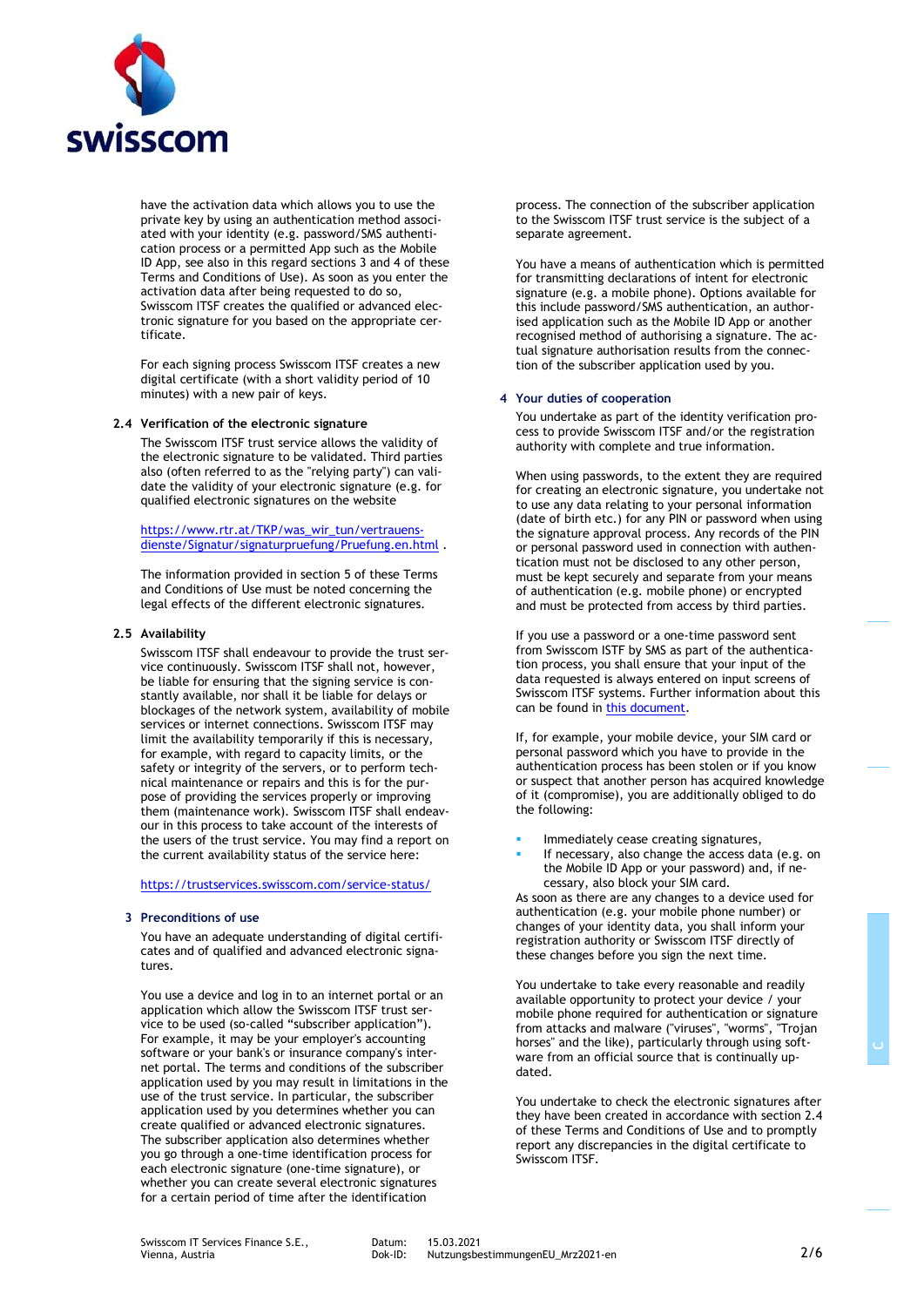

have the activation data which allows you to use the private key by using an authentication method associated with your identity (e.g. password/SMS authentication process or a permitted App such as the Mobile ID App, see also in this regard sections 3 and 4 of these Terms and Conditions of Use). As soon as you enter the activation data after being requested to do so, Swisscom ITSF creates the qualified or advanced electronic signature for you based on the appropriate certificate.

For each signing process Swisscom ITSF creates a new digital certificate (with a short validity period of 10 minutes) with a new pair of keys.

#### **2.4 Verification of the electronic signature**

The Swisscom ITSF trust service allows the validity of the electronic signature to be validated. Third parties also (often referred to as the "relying party") can validate the validity of your electronic signature (e.g. for qualified electronic signatures on the website

[https://www.rtr.at/TKP/was\\_wir\\_tun/vertrauens](https://www.rtr.at/TKP/was_wir_tun/vertrauensdienste/Signatur/signaturpruefung/Pruefung.en.html)[dienste/Signatur/signaturpruefung/Pruefung.en.html](https://www.rtr.at/TKP/was_wir_tun/vertrauensdienste/Signatur/signaturpruefung/Pruefung.en.html) .

The information provided in section 5 of these Terms and Conditions of Use must be noted concerning the legal effects of the different electronic signatures.

## **2.5 Availability**

Swisscom ITSF shall endeavour to provide the trust service continuously. Swisscom ITSF shall not, however, be liable for ensuring that the signing service is constantly available, nor shall it be liable for delays or blockages of the network system, availability of mobile services or internet connections. Swisscom ITSF may limit the availability temporarily if this is necessary, for example, with regard to capacity limits, or the safety or integrity of the servers, or to perform technical maintenance or repairs and this is for the purpose of providing the services properly or improving them (maintenance work). Swisscom ITSF shall endeavour in this process to take account of the interests of the users of the trust service. You may find a report on the current availability status of the service here:

<https://trustservices.swisscom.com/service-status/>

#### **3 Preconditions of use**

You have an adequate understanding of digital certificates and of qualified and advanced electronic signatures.

You use a device and log in to an internet portal or an application which allow the Swisscom ITSF trust service to be used (so-called "subscriber application"). For example, it may be your employer's accounting software or your bank's or insurance company's internet portal. The terms and conditions of the subscriber application used by you may result in limitations in the use of the trust service. In particular, the subscriber application used by you determines whether you can create qualified or advanced electronic signatures. The subscriber application also determines whether you go through a one-time identification process for each electronic signature (one-time signature), or whether you can create several electronic signatures for a certain period of time after the identification

process. The connection of the subscriber application to the Swisscom ITSF trust service is the subject of a separate agreement.

You have a means of authentication which is permitted for transmitting declarations of intent for electronic signature (e.g. a mobile phone). Options available for this include password/SMS authentication, an authorised application such as the Mobile ID App or another recognised method of authorising a signature. The actual signature authorisation results from the connection of the subscriber application used by you.

## **4 Your duties of cooperation**

You undertake as part of the identity verification process to provide Swisscom ITSF and/or the registration authority with complete and true information.

When using passwords, to the extent they are required for creating an electronic signature, you undertake not to use any data relating to your personal information (date of birth etc.) for any PIN or password when using the signature approval process. Any records of the PIN or personal password used in connection with authentication must not be disclosed to any other person, must be kept securely and separate from your means of authentication (e.g. mobile phone) or encrypted and must be protected from access by third parties.

If you use a password or a one-time password sent from Swisscom ISTF by SMS as part of the authentication process, you shall ensure that your input of the data requested is always entered on input screens of Swisscom ITSF systems. Further information about this can be found i[n this document.](http://documents.swisscom.com/product/filestore/lib/06b63be5-7226-4967-b711-a21cfd203ede/AuthorizeSignature-en.pdf)

If, for example, your mobile device, your SIM card or personal password which you have to provide in the authentication process has been stolen or if you know or suspect that another person has acquired knowledge of it (compromise), you are additionally obliged to do the following:

- Immediately cease creating signatures,
- If necessary, also change the access data (e.g. on the Mobile ID App or your password) and, if necessary, also block your SIM card.

As soon as there are any changes to a device used for authentication (e.g. your mobile phone number) or changes of your identity data, you shall inform your registration authority or Swisscom ITSF directly of these changes before you sign the next time.

You undertake to take every reasonable and readily available opportunity to protect your device / your mobile phone required for authentication or signature from attacks and malware ("viruses", "worms", "Trojan horses" and the like), particularly through using software from an official source that is continually updated.

You undertake to check the electronic signatures after they have been created in accordance with section 2.4 of these Terms and Conditions of Use and to promptly report any discrepancies in the digital certificate to Swisscom ITSF.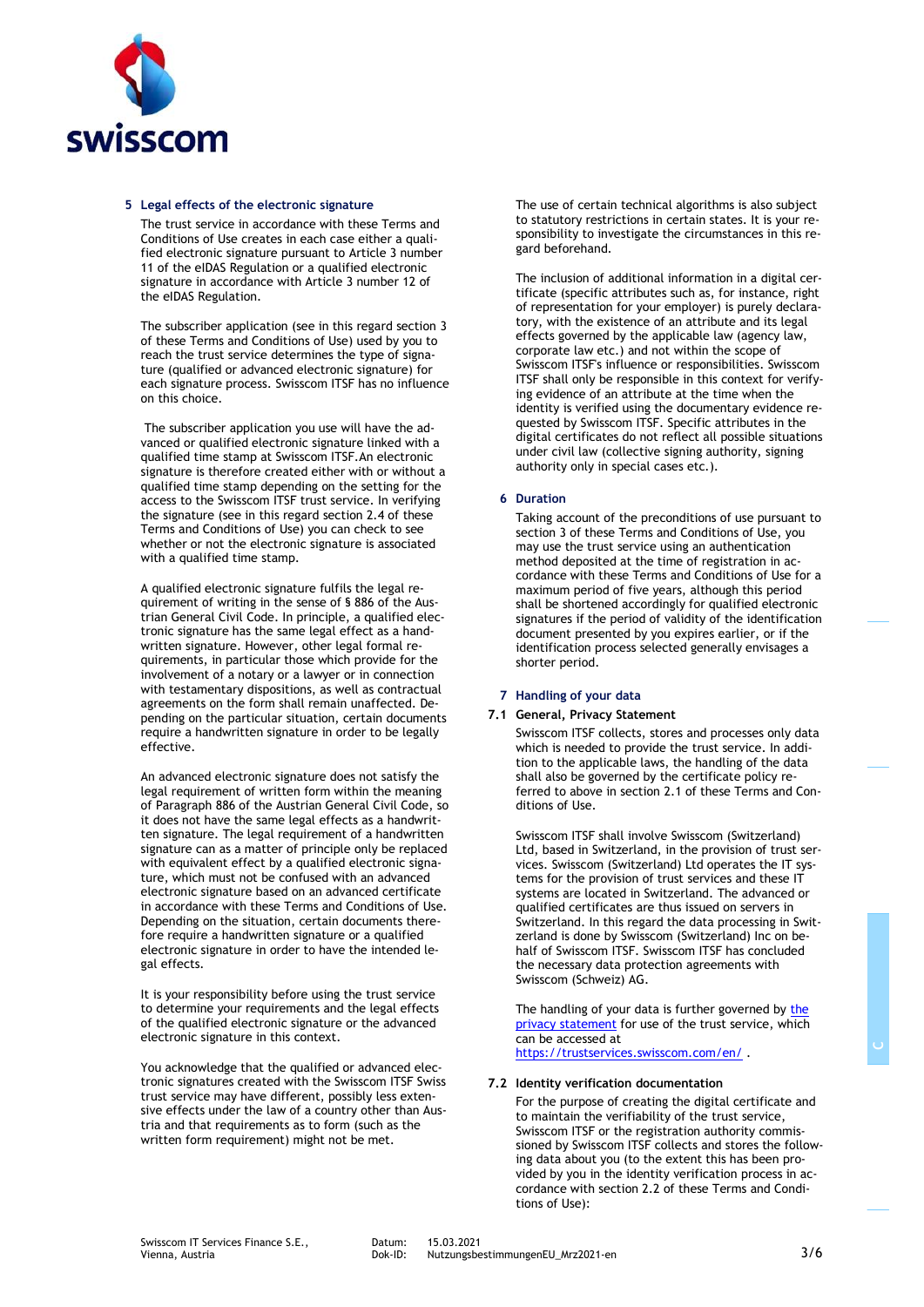

#### **5 Legal effects of the electronic signature**

The trust service in accordance with these Terms and Conditions of Use creates in each case either a qualified electronic signature pursuant to Article 3 number 11 of the eIDAS Regulation or a qualified electronic signature in accordance with Article 3 number 12 of the eIDAS Regulation.

The subscriber application (see in this regard section 3 of these Terms and Conditions of Use) used by you to reach the trust service determines the type of signature (qualified or advanced electronic signature) for each signature process. Swisscom ITSF has no influence on this choice.

The subscriber application you use will have the advanced or qualified electronic signature linked with a qualified time stamp at Swisscom ITSF.An electronic signature is therefore created either with or without a qualified time stamp depending on the setting for the access to the Swisscom ITSF trust service. In verifying the signature (see in this regard section 2.4 of these Terms and Conditions of Use) you can check to see whether or not the electronic signature is associated with a qualified time stamp.

A qualified electronic signature fulfils the legal requirement of writing in the sense of § 886 of the Austrian General Civil Code. In principle, a qualified electronic signature has the same legal effect as a handwritten signature. However, other legal formal requirements, in particular those which provide for the involvement of a notary or a lawyer or in connection with testamentary dispositions, as well as contractual agreements on the form shall remain unaffected. Depending on the particular situation, certain documents require a handwritten signature in order to be legally effective.

An advanced electronic signature does not satisfy the legal requirement of written form within the meaning of Paragraph 886 of the Austrian General Civil Code, so it does not have the same legal effects as a handwritten signature. The legal requirement of a handwritten signature can as a matter of principle only be replaced with equivalent effect by a qualified electronic signature, which must not be confused with an advanced electronic signature based on an advanced certificate in accordance with these Terms and Conditions of Use. Depending on the situation, certain documents therefore require a handwritten signature or a qualified electronic signature in order to have the intended legal effects.

It is your responsibility before using the trust service to determine your requirements and the legal effects of the qualified electronic signature or the advanced electronic signature in this context.

You acknowledge that the qualified or advanced electronic signatures created with the Swisscom ITSF Swiss trust service may have different, possibly less extensive effects under the law of a country other than Austria and that requirements as to form (such as the written form requirement) might not be met.

The use of certain technical algorithms is also subject to statutory restrictions in certain states. It is your responsibility to investigate the circumstances in this regard beforehand.

The inclusion of additional information in a digital certificate (specific attributes such as, for instance, right of representation for your employer) is purely declaratory, with the existence of an attribute and its legal effects governed by the applicable law (agency law, corporate law etc.) and not within the scope of Swisscom ITSF's influence or responsibilities. Swisscom ITSF shall only be responsible in this context for verifying evidence of an attribute at the time when the identity is verified using the documentary evidence requested by Swisscom ITSF. Specific attributes in the digital certificates do not reflect all possible situations under civil law (collective signing authority, signing authority only in special cases etc.).

#### **6 Duration**

Taking account of the preconditions of use pursuant to section 3 of these Terms and Conditions of Use, you may use the trust service using an authentication method deposited at the time of registration in accordance with these Terms and Conditions of Use for a maximum period of five years, although this period shall be shortened accordingly for qualified electronic signatures if the period of validity of the identification document presented by you expires earlier, or if the identification process selected generally envisages a shorter period.

#### **7 Handling of your data**

#### **7.1 General, Privacy Statement**

Swisscom ITSF collects, stores and processes only data which is needed to provide the trust service. In addition to the applicable laws, the handling of the data shall also be governed by the certificate policy referred to above in section 2.1 of these Terms and Conditions of Use.

Swisscom ITSF shall involve Swisscom (Switzerland) Ltd, based in Switzerland, in the provision of trust services. Swisscom (Switzerland) Ltd operates the IT systems for the provision of trust services and these IT systems are located in Switzerland. The advanced or qualified certificates are thus issued on servers in Switzerland. In this regard the data processing in Switzerland is done by Swisscom (Switzerland) Inc on behalf of Swisscom ITSF. Swisscom ITSF has concluded the necessary data protection agreements with Swisscom (Schweiz) AG.

The handling of your data is further governed by the [privacy statement](http://documents.swisscom.com/product/filestore/lib/f3daec38-8db9-465c-9c81-e4ba8f30143e/gdpr_eu-en.pdf) for use of the trust service, which can be accessed at <https://trustservices.swisscom.com/en/> .

#### **7.2 Identity verification documentation**

For the purpose of creating the digital certificate and to maintain the verifiability of the trust service, Swisscom ITSF or the registration authority commissioned by Swisscom ITSF collects and stores the following data about you (to the extent this has been provided by you in the identity verification process in accordance with section 2.2 of these Terms and Conditions of Use):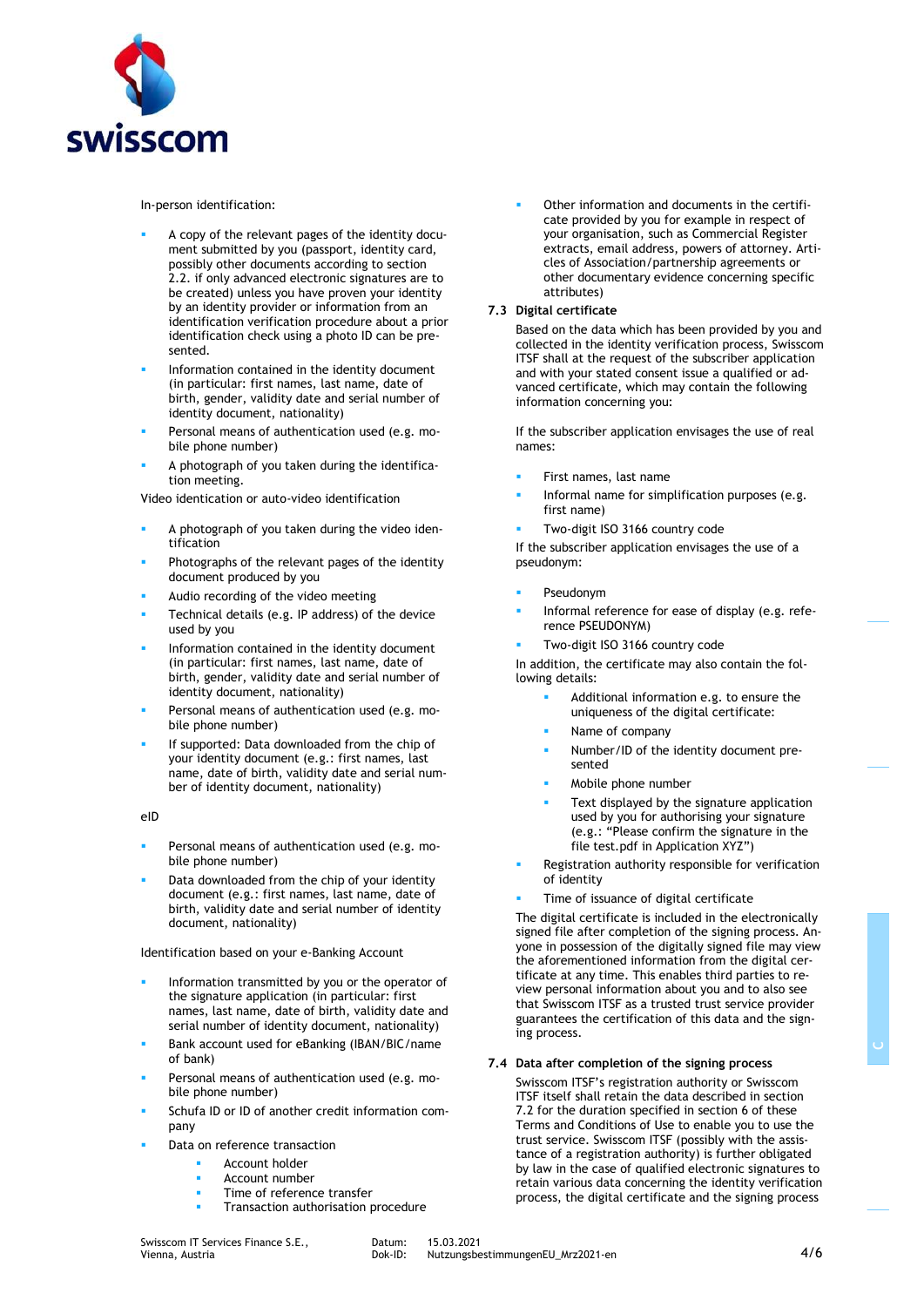

In-person identification:

- A copy of the relevant pages of the identity document submitted by you (passport, identity card, possibly other documents according to section 2.2. if only advanced electronic signatures are to be created) unless you have proven your identity by an identity provider or information from an identification verification procedure about a prior identification check using a photo ID can be presented.
- Information contained in the identity document (in particular: first names, last name, date of birth, gender, validity date and serial number of identity document, nationality)
- Personal means of authentication used (e.g. mobile phone number)
- A photograph of you taken during the identification meeting.

Video identication or auto-video identification

- A photograph of you taken during the video identification
- Photographs of the relevant pages of the identity document produced by you
- Audio recording of the video meeting
- Technical details (e.g. IP address) of the device used by you
- Information contained in the identity document (in particular: first names, last name, date of birth, gender, validity date and serial number of identity document, nationality)
- Personal means of authentication used (e.g. mobile phone number)
- If supported: Data downloaded from the chip of your identity document (e.g.: first names, last name, date of birth, validity date and serial number of identity document, nationality)

eID

- Personal means of authentication used (e.g. mobile phone number)
- Data downloaded from the chip of your identity document (e.g.: first names, last name, date of birth, validity date and serial number of identity document, nationality)

Identification based on your e-Banking Account

- Information transmitted by you or the operator of the signature application (in particular: first names, last name, date of birth, validity date and serial number of identity document, nationality)
- Bank account used for eBanking (IBAN/BIC/name of bank)
- Personal means of authentication used (e.g. mobile phone number)
- Schufa ID or ID of another credit information company
- Data on reference transaction
	- Account holder
		- Account number
	- Time of reference transfer
	- Transaction authorisation procedure

Other information and documents in the certificate provided by you for example in respect of your organisation, such as Commercial Register extracts, email address, powers of attorney. Articles of Association/partnership agreements or other documentary evidence concerning specific attributes)

## **7.3 Digital certificate**

Based on the data which has been provided by you and collected in the identity verification process, Swisscom ITSF shall at the request of the subscriber application and with your stated consent issue a qualified or advanced certificate, which may contain the following information concerning you:

If the subscriber application envisages the use of real names:

- First names, last name
- Informal name for simplification purposes (e.g. first name)
- Two-digit ISO 3166 country code

If the subscriber application envisages the use of a pseudonym:

- Pseudonym
- Informal reference for ease of display (e.g. reference PSEUDONYM)
- Two-digit ISO 3166 country code

In addition, the certificate may also contain the following details:

- Additional information e.g. to ensure the uniqueness of the digital certificate:
- Name of company
- Number/ID of the identity document presented
- Mobile phone number
- Text displayed by the signature application used by you for authorising your signature (e.g.: "Please confirm the signature in the file test.pdf in Application XYZ")
- Registration authority responsible for verification of identity
- Time of issuance of digital certificate

The digital certificate is included in the electronically signed file after completion of the signing process. Anyone in possession of the digitally signed file may view the aforementioned information from the digital certificate at any time. This enables third parties to review personal information about you and to also see that Swisscom ITSF as a trusted trust service provider guarantees the certification of this data and the signing process.

## **7.4 Data after completion of the signing process**

Swisscom ITSF's registration authority or Swisscom ITSF itself shall retain the data described in section 7.2 for the duration specified in section 6 of these Terms and Conditions of Use to enable you to use the trust service. Swisscom ITSF (possibly with the assistance of a registration authority) is further obligated by law in the case of qualified electronic signatures to retain various data concerning the identity verification process, the digital certificate and the signing process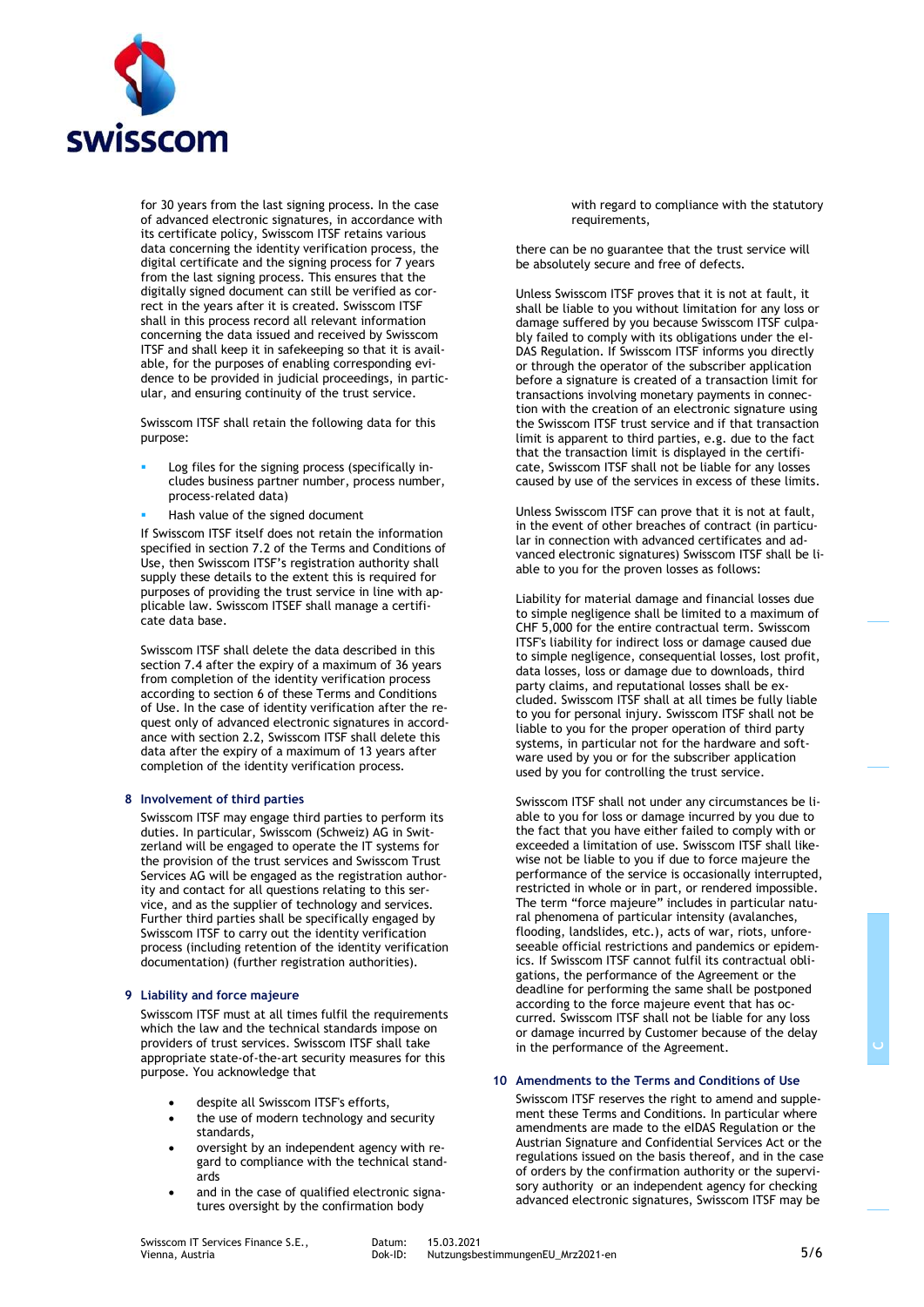

for 30 years from the last signing process. In the case of advanced electronic signatures, in accordance with its certificate policy, Swisscom ITSF retains various data concerning the identity verification process, the digital certificate and the signing process for 7 years from the last signing process. This ensures that the digitally signed document can still be verified as correct in the years after it is created. Swisscom ITSF shall in this process record all relevant information concerning the data issued and received by Swisscom ITSF and shall keep it in safekeeping so that it is available, for the purposes of enabling corresponding evidence to be provided in judicial proceedings, in particular, and ensuring continuity of the trust service.

Swisscom ITSF shall retain the following data for this purpose:

- Log files for the signing process (specifically includes business partner number, process number, process-related data)
- Hash value of the signed document

If Swisscom ITSF itself does not retain the information specified in section 7.2 of the Terms and Conditions of Use, then Swisscom ITSF's registration authority shall supply these details to the extent this is required for purposes of providing the trust service in line with applicable law. Swisscom ITSEF shall manage a certificate data base.

Swisscom ITSF shall delete the data described in this section 7.4 after the expiry of a maximum of 36 years from completion of the identity verification process according to section 6 of these Terms and Conditions of Use. In the case of identity verification after the request only of advanced electronic signatures in accordance with section 2.2, Swisscom ITSF shall delete this data after the expiry of a maximum of 13 years after completion of the identity verification process.

## **8 Involvement of third parties**

Swisscom ITSF may engage third parties to perform its duties. In particular, Swisscom (Schweiz) AG in Switzerland will be engaged to operate the IT systems for the provision of the trust services and Swisscom Trust Services AG will be engaged as the registration authority and contact for all questions relating to this service, and as the supplier of technology and services. Further third parties shall be specifically engaged by Swisscom ITSF to carry out the identity verification process (including retention of the identity verification documentation) (further registration authorities).

## **9 Liability and force majeure**

Swisscom ITSF must at all times fulfil the requirements which the law and the technical standards impose on providers of trust services. Swisscom ITSF shall take appropriate state-of-the-art security measures for this purpose. You acknowledge that

- despite all Swisscom ITSF's efforts,
- the use of modern technology and security standards,
- oversight by an independent agency with regard to compliance with the technical standards
- and in the case of qualified electronic signatures oversight by the confirmation body

with regard to compliance with the statutory requirements,

there can be no guarantee that the trust service will be absolutely secure and free of defects.

Unless Swisscom ITSF proves that it is not at fault, it shall be liable to you without limitation for any loss or damage suffered by you because Swisscom ITSF culpably failed to comply with its obligations under the el-DAS Regulation. If Swisscom ITSF informs you directly or through the operator of the subscriber application before a signature is created of a transaction limit for transactions involving monetary payments in connection with the creation of an electronic signature using the Swisscom ITSF trust service and if that transaction limit is apparent to third parties, e.g. due to the fact that the transaction limit is displayed in the certificate, Swisscom ITSF shall not be liable for any losses caused by use of the services in excess of these limits.

Unless Swisscom ITSF can prove that it is not at fault, in the event of other breaches of contract (in particular in connection with advanced certificates and advanced electronic signatures) Swisscom ITSF shall be liable to you for the proven losses as follows:

Liability for material damage and financial losses due to simple negligence shall be limited to a maximum of CHF 5,000 for the entire contractual term. Swisscom ITSF's liability for indirect loss or damage caused due to simple negligence, consequential losses, lost profit, data losses, loss or damage due to downloads, third party claims, and reputational losses shall be excluded. Swisscom ITSF shall at all times be fully liable to you for personal injury. Swisscom ITSF shall not be liable to you for the proper operation of third party systems, in particular not for the hardware and software used by you or for the subscriber application used by you for controlling the trust service.

Swisscom ITSF shall not under any circumstances be liable to you for loss or damage incurred by you due to the fact that you have either failed to comply with or exceeded a limitation of use. Swisscom ITSF shall likewise not be liable to you if due to force majeure the performance of the service is occasionally interrupted, restricted in whole or in part, or rendered impossible. The term "force majeure" includes in particular natural phenomena of particular intensity (avalanches, flooding, landslides, etc.), acts of war, riots, unforeseeable official restrictions and pandemics or epidemics. If Swisscom ITSF cannot fulfil its contractual obligations, the performance of the Agreement or the deadline for performing the same shall be postponed according to the force majeure event that has occurred. Swisscom ITSF shall not be liable for any loss or damage incurred by Customer because of the delay in the performance of the Agreement.

# **10 Amendments to the Terms and Conditions of Use**

Swisscom ITSF reserves the right to amend and supplement these Terms and Conditions. In particular where amendments are made to the eIDAS Regulation or the Austrian Signature and Confidential Services Act or the regulations issued on the basis thereof, and in the case of orders by the confirmation authority or the supervisory authority or an independent agency for checking advanced electronic signatures, Swisscom ITSF may be